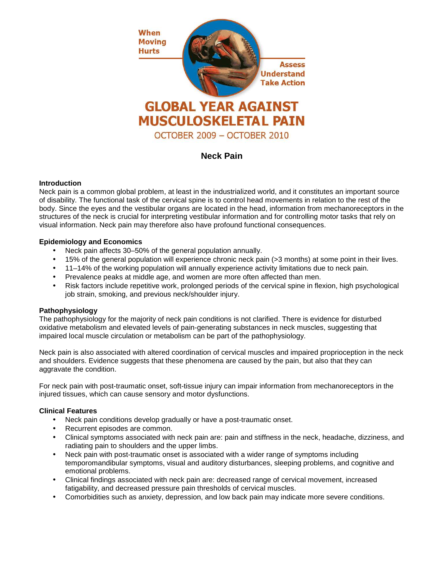

# **Neck Pain**

## **Introduction**

Neck pain is a common global problem, at least in the industrialized world, and it constitutes an important source of disability. The functional task of the cervical spine is to control head movements in relation to the rest of the body. Since the eyes and the vestibular organs are located in the head, information from mechanoreceptors in the structures of the neck is crucial for interpreting vestibular information and for controlling motor tasks that rely on visual information. Neck pain may therefore also have profound functional consequences.

## **Epidemiology and Economics**

- Neck pain affects 30–50% of the general population annually.
- 15% of the general population will experience chronic neck pain (>3 months) at some point in their lives.
- 11–14% of the working population will annually experience activity limitations due to neck pain.
- Prevalence peaks at middle age, and women are more often affected than men.
- Risk factors include repetitive work, prolonged periods of the cervical spine in flexion, high psychological job strain, smoking, and previous neck/shoulder injury.

# **Pathophysiology**

The pathophysiology for the majority of neck pain conditions is not clarified. There is evidence for disturbed oxidative metabolism and elevated levels of pain-generating substances in neck muscles, suggesting that impaired local muscle circulation or metabolism can be part of the pathophysiology.

Neck pain is also associated with altered coordination of cervical muscles and impaired proprioception in the neck and shoulders. Evidence suggests that these phenomena are caused by the pain, but also that they can aggravate the condition.

For neck pain with post-traumatic onset, soft-tissue injury can impair information from mechanoreceptors in the injured tissues, which can cause sensory and motor dysfunctions.

#### **Clinical Features**

- Neck pain conditions develop gradually or have a post-traumatic onset.
- Recurrent episodes are common.
- Clinical symptoms associated with neck pain are: pain and stiffness in the neck, headache, dizziness, and radiating pain to shoulders and the upper limbs.
- Neck pain with post-traumatic onset is associated with a wider range of symptoms including temporomandibular symptoms, visual and auditory disturbances, sleeping problems, and cognitive and emotional problems.
- Clinical findings associated with neck pain are: decreased range of cervical movement, increased fatigability, and decreased pressure pain thresholds of cervical muscles.
- Comorbidities such as anxiety, depression, and low back pain may indicate more severe conditions.